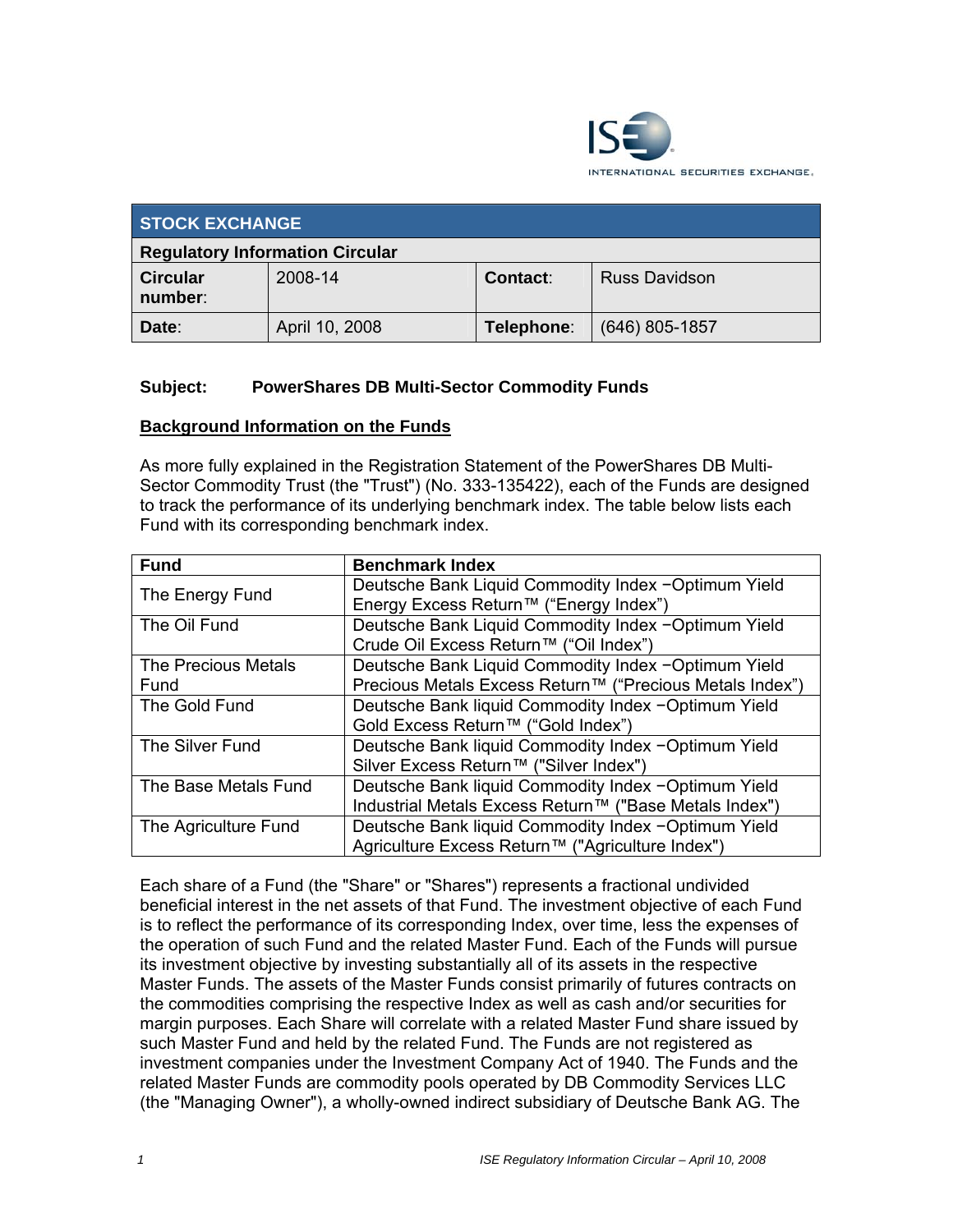

| <b>STOCK EXCHANGE</b>                  |                |            |                      |  |  |  |
|----------------------------------------|----------------|------------|----------------------|--|--|--|
| <b>Regulatory Information Circular</b> |                |            |                      |  |  |  |
| <b>Circular</b><br>number:             | 2008-14        | Contact:   | <b>Russ Davidson</b> |  |  |  |
| Date:                                  | April 10, 2008 | Telephone: | $(646)$ 805-1857     |  |  |  |

#### **Subject: PowerShares DB MuIti-Sector Commodity Funds**

#### **Background Information on the Funds**

As more fully explained in the Registration Statement of the PowerShares DB Multi-Sector Commodity Trust (the "Trust") (No. 333-135422), each of the Funds are designed to track the performance of its underlying benchmark index. The table below lists each Fund with its corresponding benchmark index.

| <b>Fund</b>          | <b>Benchmark Index</b>                                   |
|----------------------|----------------------------------------------------------|
| The Energy Fund      | Deutsche Bank Liquid Commodity Index - Optimum Yield     |
|                      | Energy Excess Return™ ("Energy Index")                   |
| The Oil Fund         | Deutsche Bank Liquid Commodity Index -Optimum Yield      |
|                      | Crude Oil Excess Return™ ("Oil Index")                   |
| The Precious Metals  | Deutsche Bank Liquid Commodity Index - Optimum Yield     |
| Fund                 | Precious Metals Excess Return™ ("Precious Metals Index") |
| The Gold Fund        | Deutsche Bank liquid Commodity Index -Optimum Yield      |
|                      | Gold Excess Return™ ("Gold Index")                       |
| The Silver Fund      | Deutsche Bank liquid Commodity Index -Optimum Yield      |
|                      | Silver Excess Return <sup>™</sup> ("Silver Index")       |
| The Base Metals Fund | Deutsche Bank liquid Commodity Index -Optimum Yield      |
|                      | Industrial Metals Excess Return™ ("Base Metals Index")   |
| The Agriculture Fund | Deutsche Bank liquid Commodity Index -Optimum Yield      |
|                      | Agriculture Excess Return™ ("Agriculture Index")         |

Each share of a Fund (the "Share" or "Shares") represents a fractional undivided beneficial interest in the net assets of that Fund. The investment objective of each Fund is to reflect the performance of its corresponding Index, over time, less the expenses of the operation of such Fund and the related Master Fund. Each of the Funds will pursue its investment objective by investing substantially all of its assets in the respective Master Funds. The assets of the Master Funds consist primarily of futures contracts on the commodities comprising the respective Index as well as cash and/or securities for margin purposes. Each Share will correlate with a related Master Fund share issued by such Master Fund and held by the related Fund. The Funds are not registered as investment companies under the Investment Company Act of 1940. The Funds and the related Master Funds are commodity pools operated by DB Commodity Services LLC (the "Managing Owner"), a wholly-owned indirect subsidiary of Deutsche Bank AG. The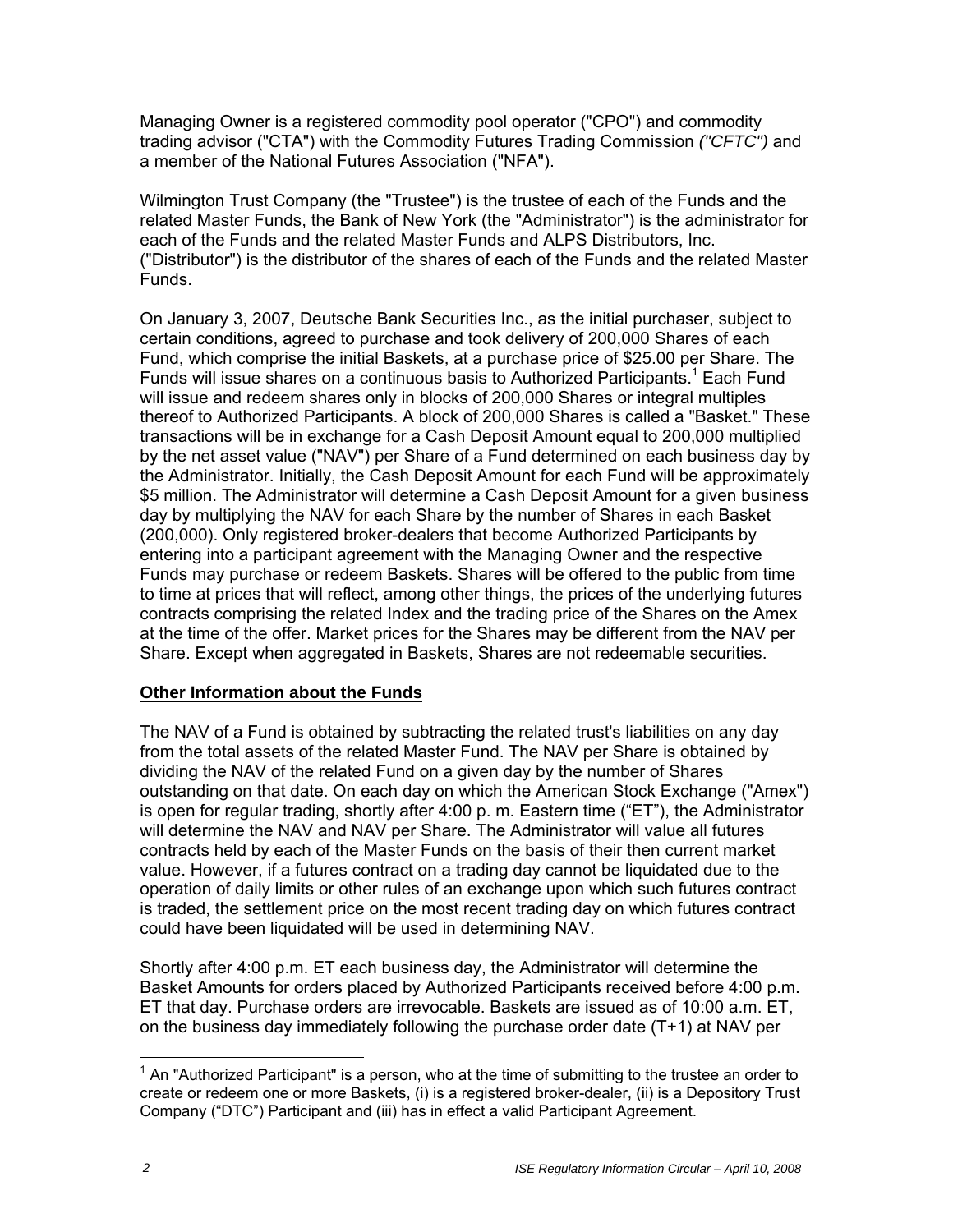Managing Owner is a registered commodity pool operator ("CPO") and commodity trading advisor ("CTA") with the Commodity Futures Trading Commission *("CFTC")* and a member of the National Futures Association ("NFA").

Wilmington Trust Company (the "Trustee") is the trustee of each of the Funds and the related Master Funds, the Bank of New York (the "Administrator") is the administrator for each of the Funds and the related Master Funds and ALPS Distributors, Inc. ("Distributor") is the distributor of the shares of each of the Funds and the related Master Funds.

On January 3, 2007, Deutsche Bank Securities Inc., as the initial purchaser, subject to certain conditions, agreed to purchase and took delivery of 200,000 Shares of each Fund, which comprise the initial Baskets, at a purchase price of \$25.00 per Share. The Funds will issue shares on a continuous basis to Authorized Participants.<sup>1</sup> Each Fund will issue and redeem shares only in blocks of 200,000 Shares or integral multiples thereof to Authorized Participants. A block of 200,000 Shares is called a "Basket." These transactions will be in exchange for a Cash Deposit Amount equal to 200,000 multiplied by the net asset value ("NAV") per Share of a Fund determined on each business day by the Administrator. Initially, the Cash Deposit Amount for each Fund will be approximately \$5 million. The Administrator will determine a Cash Deposit Amount for a given business day by multiplying the NAV for each Share by the number of Shares in each Basket (200,000). Only registered broker-dealers that become Authorized Participants by entering into a participant agreement with the Managing Owner and the respective Funds may purchase or redeem Baskets. Shares will be offered to the public from time to time at prices that will reflect, among other things, the prices of the underlying futures contracts comprising the related Index and the trading price of the Shares on the Amex at the time of the offer. Market prices for the Shares may be different from the NAV per Share. Except when aggregated in Baskets, Shares are not redeemable securities.

# **Other Information about the Funds**

The NAV of a Fund is obtained by subtracting the related trust's liabilities on any day from the total assets of the related Master Fund. The NAV per Share is obtained by dividing the NAV of the related Fund on a given day by the number of Shares outstanding on that date. On each day on which the American Stock Exchange ("Amex") is open for regular trading, shortly after 4:00 p. m. Eastern time ("ET"), the Administrator will determine the NAV and NAV per Share. The Administrator will value all futures contracts held by each of the Master Funds on the basis of their then current market value. However, if a futures contract on a trading day cannot be liquidated due to the operation of daily limits or other rules of an exchange upon which such futures contract is traded, the settlement price on the most recent trading day on which futures contract could have been liquidated will be used in determining NAV.

Shortly after 4:00 p.m. ET each business day, the Administrator will determine the Basket Amounts for orders placed by Authorized Participants received before 4:00 p.m. ET that day. Purchase orders are irrevocable. Baskets are issued as of 10:00 a.m. ET, on the business day immediately following the purchase order date (T+1) at NAV per

 $\overline{a}$  $1$  An "Authorized Participant" is a person, who at the time of submitting to the trustee an order to create or redeem one or more Baskets, (i) is a registered broker-dealer, (ii) is a Depository Trust Company ("DTC") Participant and (iii) has in effect a valid Participant Agreement.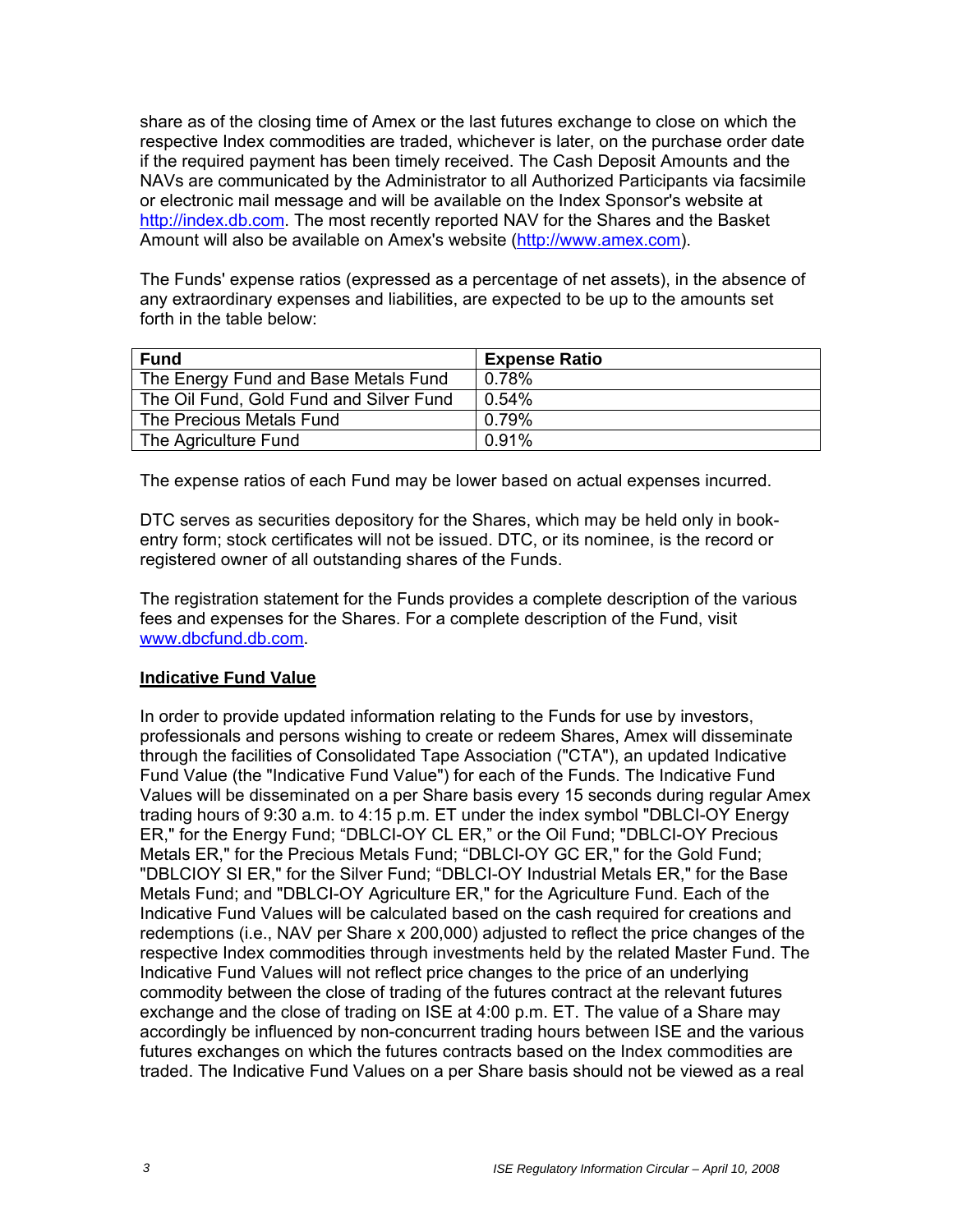share as of the closing time of Amex or the last futures exchange to close on which the respective Index commodities are traded, whichever is later, on the purchase order date if the required payment has been timely received. The Cash Deposit Amounts and the NAVs are communicated by the Administrator to all Authorized Participants via facsimile or electronic mail message and will be available on the Index Sponsor's website at http://index.db.com. The most recently reported NAV for the Shares and the Basket Amount will also be available on Amex's website (http://www.amex.com).

The Funds' expense ratios (expressed as a percentage of net assets), in the absence of any extraordinary expenses and liabilities, are expected to be up to the amounts set forth in the table below:

| <b>Fund</b>                             | <b>Expense Ratio</b> |
|-----------------------------------------|----------------------|
| The Energy Fund and Base Metals Fund    | 0.78%                |
| The Oil Fund, Gold Fund and Silver Fund | $0.54\%$             |
| The Precious Metals Fund                | 0.79%                |
| The Agriculture Fund                    | $0.91\%$             |

The expense ratios of each Fund may be lower based on actual expenses incurred.

DTC serves as securities depository for the Shares, which may be held only in bookentry form; stock certificates will not be issued. DTC, or its nominee, is the record or registered owner of all outstanding shares of the Funds.

The registration statement for the Funds provides a complete description of the various fees and expenses for the Shares. For a complete description of the Fund, visit www.dbcfund.db.com.

## **Indicative Fund Value**

In order to provide updated information relating to the Funds for use by investors, professionals and persons wishing to create or redeem Shares, Amex will disseminate through the facilities of Consolidated Tape Association ("CTA"), an updated Indicative Fund Value (the "Indicative Fund Value") for each of the Funds. The Indicative Fund Values will be disseminated on a per Share basis every 15 seconds during regular Amex trading hours of 9:30 a.m. to 4:15 p.m. ET under the index symbol "DBLCI-OY Energy ER," for the Energy Fund; "DBLCI-OY CL ER," or the Oil Fund; "DBLCI-OY Precious Metals ER," for the Precious Metals Fund; "DBLCI-OY GC ER," for the Gold Fund; "DBLCIOY SI ER," for the Silver Fund; "DBLCI-OY Industrial Metals ER," for the Base Metals Fund; and "DBLCI-OY Agriculture ER," for the Agriculture Fund. Each of the Indicative Fund Values will be calculated based on the cash required for creations and redemptions (i.e., NAV per Share x 200,000) adjusted to reflect the price changes of the respective Index commodities through investments held by the related Master Fund. The Indicative Fund Values will not reflect price changes to the price of an underlying commodity between the close of trading of the futures contract at the relevant futures exchange and the close of trading on ISE at 4:00 p.m. ET. The value of a Share may accordingly be influenced by non-concurrent trading hours between ISE and the various futures exchanges on which the futures contracts based on the Index commodities are traded. The Indicative Fund Values on a per Share basis should not be viewed as a real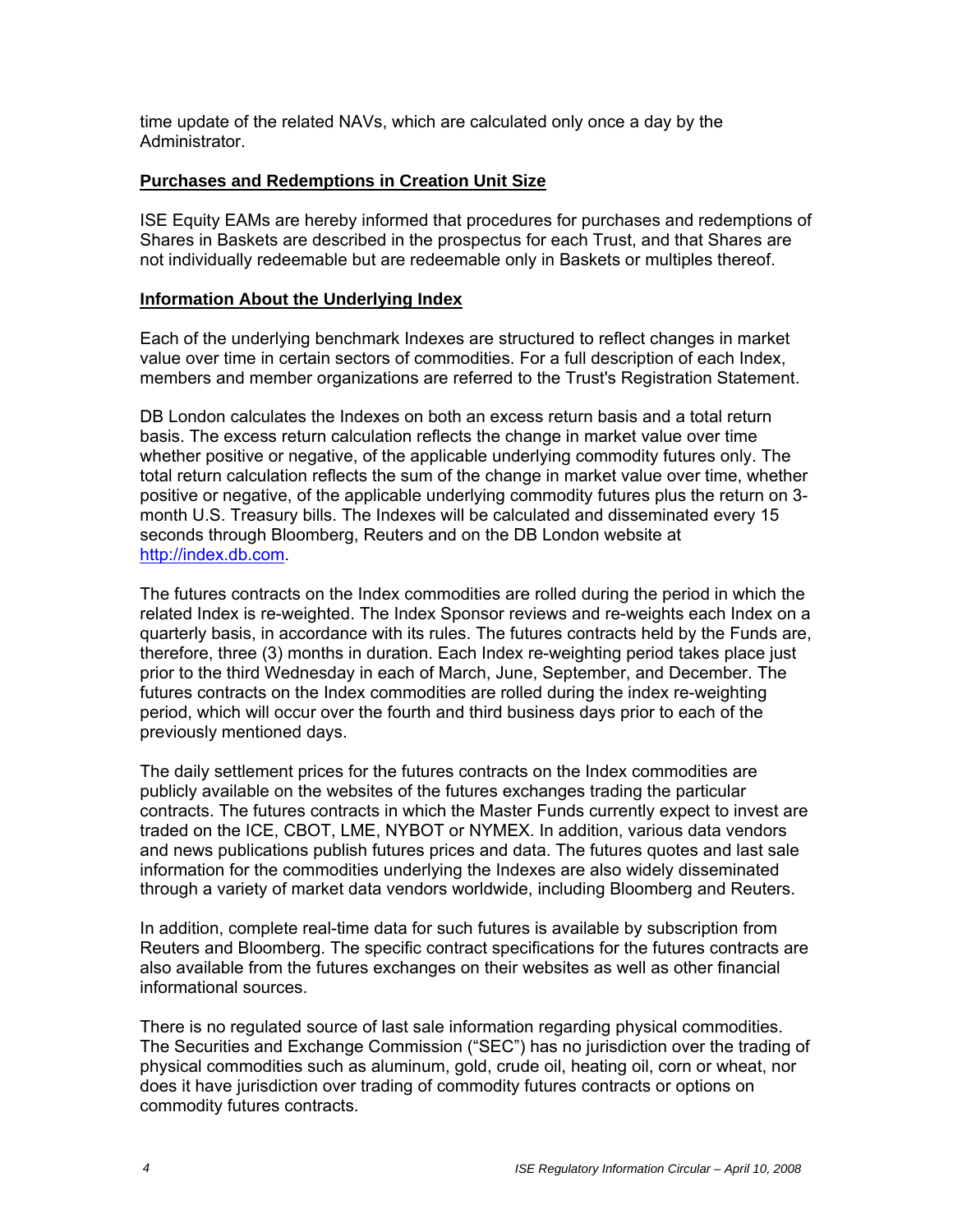time update of the related NAVs, which are calculated only once a day by the **Administrator** 

## **Purchases and Redemptions in Creation Unit Size**

ISE Equity EAMs are hereby informed that procedures for purchases and redemptions of Shares in Baskets are described in the prospectus for each Trust, and that Shares are not individually redeemable but are redeemable only in Baskets or multiples thereof.

## **Information About the Underlying Index**

Each of the underlying benchmark Indexes are structured to reflect changes in market value over time in certain sectors of commodities. For a full description of each Index, members and member organizations are referred to the Trust's Registration Statement.

DB London calculates the Indexes on both an excess return basis and a total return basis. The excess return calculation reflects the change in market value over time whether positive or negative, of the applicable underlying commodity futures only. The total return calculation reflects the sum of the change in market value over time, whether positive or negative, of the applicable underlying commodity futures plus the return on 3 month U.S. Treasury bills. The Indexes will be calculated and disseminated every 15 seconds through Bloomberg, Reuters and on the DB London website at http://index.db.com.

The futures contracts on the Index commodities are rolled during the period in which the related Index is re-weighted. The Index Sponsor reviews and re-weights each Index on a quarterly basis, in accordance with its rules. The futures contracts held by the Funds are, therefore, three (3) months in duration. Each Index re-weighting period takes place just prior to the third Wednesday in each of March, June, September, and December. The futures contracts on the Index commodities are rolled during the index re-weighting period, which will occur over the fourth and third business days prior to each of the previously mentioned days.

The daily settlement prices for the futures contracts on the Index commodities are publicly available on the websites of the futures exchanges trading the particular contracts. The futures contracts in which the Master Funds currently expect to invest are traded on the ICE, CBOT, LME, NYBOT or NYMEX. In addition, various data vendors and news publications publish futures prices and data. The futures quotes and last sale information for the commodities underlying the Indexes are also widely disseminated through a variety of market data vendors worldwide, including Bloomberg and Reuters.

In addition, complete real-time data for such futures is available by subscription from Reuters and Bloomberg. The specific contract specifications for the futures contracts are also available from the futures exchanges on their websites as well as other financial informational sources.

There is no regulated source of last sale information regarding physical commodities. The Securities and Exchange Commission ("SEC") has no jurisdiction over the trading of physical commodities such as aluminum, gold, crude oil, heating oil, corn or wheat, nor does it have jurisdiction over trading of commodity futures contracts or options on commodity futures contracts.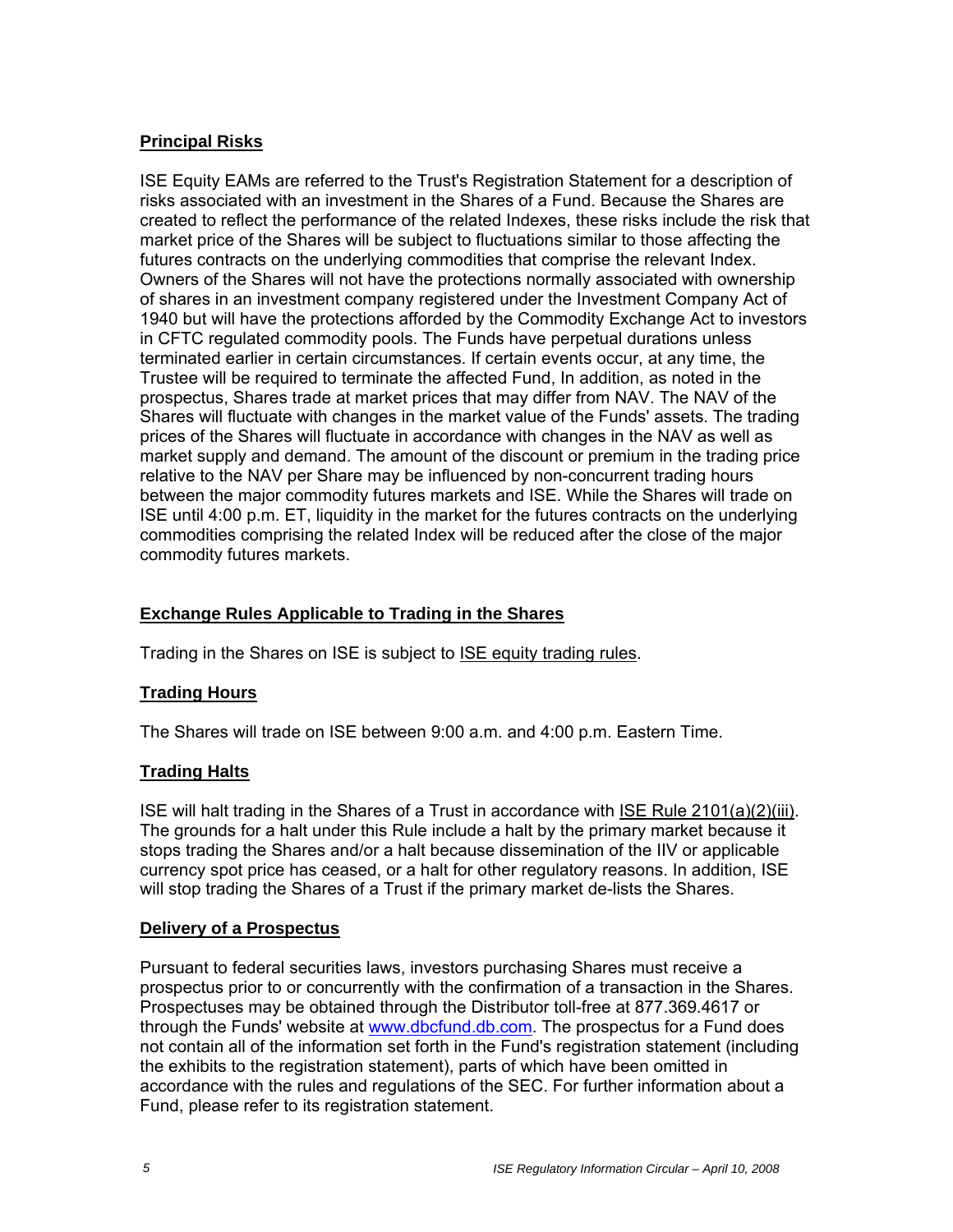# **Principal Risks**

ISE Equity EAMs are referred to the Trust's Registration Statement for a description of risks associated with an investment in the Shares of a Fund. Because the Shares are created to reflect the performance of the related Indexes, these risks include the risk that market price of the Shares will be subject to fluctuations similar to those affecting the futures contracts on the underlying commodities that comprise the relevant Index. Owners of the Shares will not have the protections normally associated with ownership of shares in an investment company registered under the Investment Company Act of 1940 but will have the protections afforded by the Commodity Exchange Act to investors in CFTC regulated commodity pools. The Funds have perpetual durations unless terminated earlier in certain circumstances. If certain events occur, at any time, the Trustee will be required to terminate the affected Fund, In addition, as noted in the prospectus, Shares trade at market prices that may differ from NAV. The NAV of the Shares will fluctuate with changes in the market value of the Funds' assets. The trading prices of the Shares will fluctuate in accordance with changes in the NAV as well as market supply and demand. The amount of the discount or premium in the trading price relative to the NAV per Share may be influenced by non-concurrent trading hours between the major commodity futures markets and ISE. While the Shares will trade on ISE until 4:00 p.m. ET, liquidity in the market for the futures contracts on the underlying commodities comprising the related Index will be reduced after the close of the major commodity futures markets.

# **Exchange Rules Applicable to Trading in the Shares**

Trading in the Shares on ISE is subject to ISE equity trading rules.

## **Trading Hours**

The Shares will trade on ISE between 9:00 a.m. and 4:00 p.m. Eastern Time.

## **Trading Halts**

ISE will halt trading in the Shares of a Trust in accordance with ISE Rule 2101(a)(2)(iii). The grounds for a halt under this Rule include a halt by the primary market because it stops trading the Shares and/or a halt because dissemination of the IIV or applicable currency spot price has ceased, or a halt for other regulatory reasons. In addition, ISE will stop trading the Shares of a Trust if the primary market de-lists the Shares.

## **Delivery of a Prospectus**

Pursuant to federal securities laws, investors purchasing Shares must receive a prospectus prior to or concurrently with the confirmation of a transaction in the Shares. Prospectuses may be obtained through the Distributor toll-free at 877.369.4617 or through the Funds' website at www.dbcfund.db.com. The prospectus for a Fund does not contain all of the information set forth in the Fund's registration statement (including the exhibits to the registration statement), parts of which have been omitted in accordance with the rules and regulations of the SEC. For further information about a Fund, please refer to its registration statement.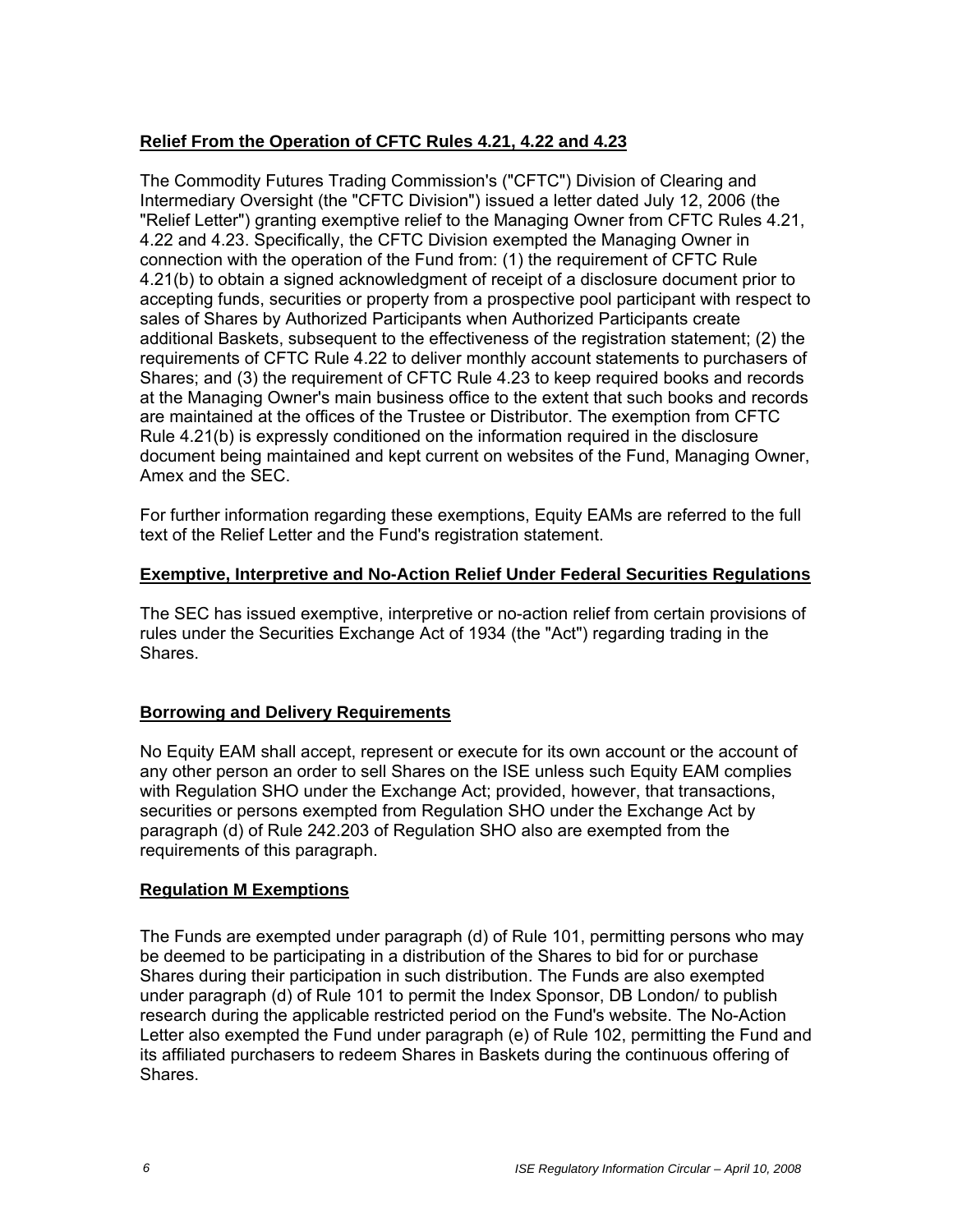## **Relief From the Operation of CFTC Rules 4.21, 4.22 and 4.23**

The Commodity Futures Trading Commission's ("CFTC") Division of Clearing and Intermediary Oversight (the "CFTC Division") issued a letter dated July 12, 2006 (the "Relief Letter") granting exemptive relief to the Managing Owner from CFTC Rules 4.21, 4.22 and 4.23. Specifically, the CFTC Division exempted the Managing Owner in connection with the operation of the Fund from: (1) the requirement of CFTC Rule 4.21(b) to obtain a signed acknowledgment of receipt of a disclosure document prior to accepting funds, securities or property from a prospective pool participant with respect to sales of Shares by Authorized Participants when Authorized Participants create additional Baskets, subsequent to the effectiveness of the registration statement; (2) the requirements of CFTC Rule 4.22 to deliver monthly account statements to purchasers of Shares; and (3) the requirement of CFTC Rule 4.23 to keep required books and records at the Managing Owner's main business office to the extent that such books and records are maintained at the offices of the Trustee or Distributor. The exemption from CFTC Rule 4.21(b) is expressly conditioned on the information required in the disclosure document being maintained and kept current on websites of the Fund, Managing Owner, Amex and the SEC.

For further information regarding these exemptions, Equity EAMs are referred to the full text of the Relief Letter and the Fund's registration statement.

#### **Exemptive, Interpretive and No-Action Relief Under Federal Securities Regulations**

The SEC has issued exemptive, interpretive or no-action relief from certain provisions of rules under the Securities Exchange Act of 1934 (the "Act") regarding trading in the Shares.

## **Borrowing and Delivery Requirements**

No Equity EAM shall accept, represent or execute for its own account or the account of any other person an order to sell Shares on the ISE unless such Equity EAM complies with Regulation SHO under the Exchange Act; provided, however, that transactions, securities or persons exempted from Regulation SHO under the Exchange Act by paragraph (d) of Rule 242.203 of Regulation SHO also are exempted from the requirements of this paragraph.

## **Regulation M Exemptions**

The Funds are exempted under paragraph (d) of Rule 101, permitting persons who may be deemed to be participating in a distribution of the Shares to bid for or purchase Shares during their participation in such distribution. The Funds are also exempted under paragraph (d) of Rule 101 to permit the Index Sponsor, DB London/ to publish research during the applicable restricted period on the Fund's website. The No-Action Letter also exempted the Fund under paragraph (e) of Rule 102, permitting the Fund and its affiliated purchasers to redeem Shares in Baskets during the continuous offering of Shares.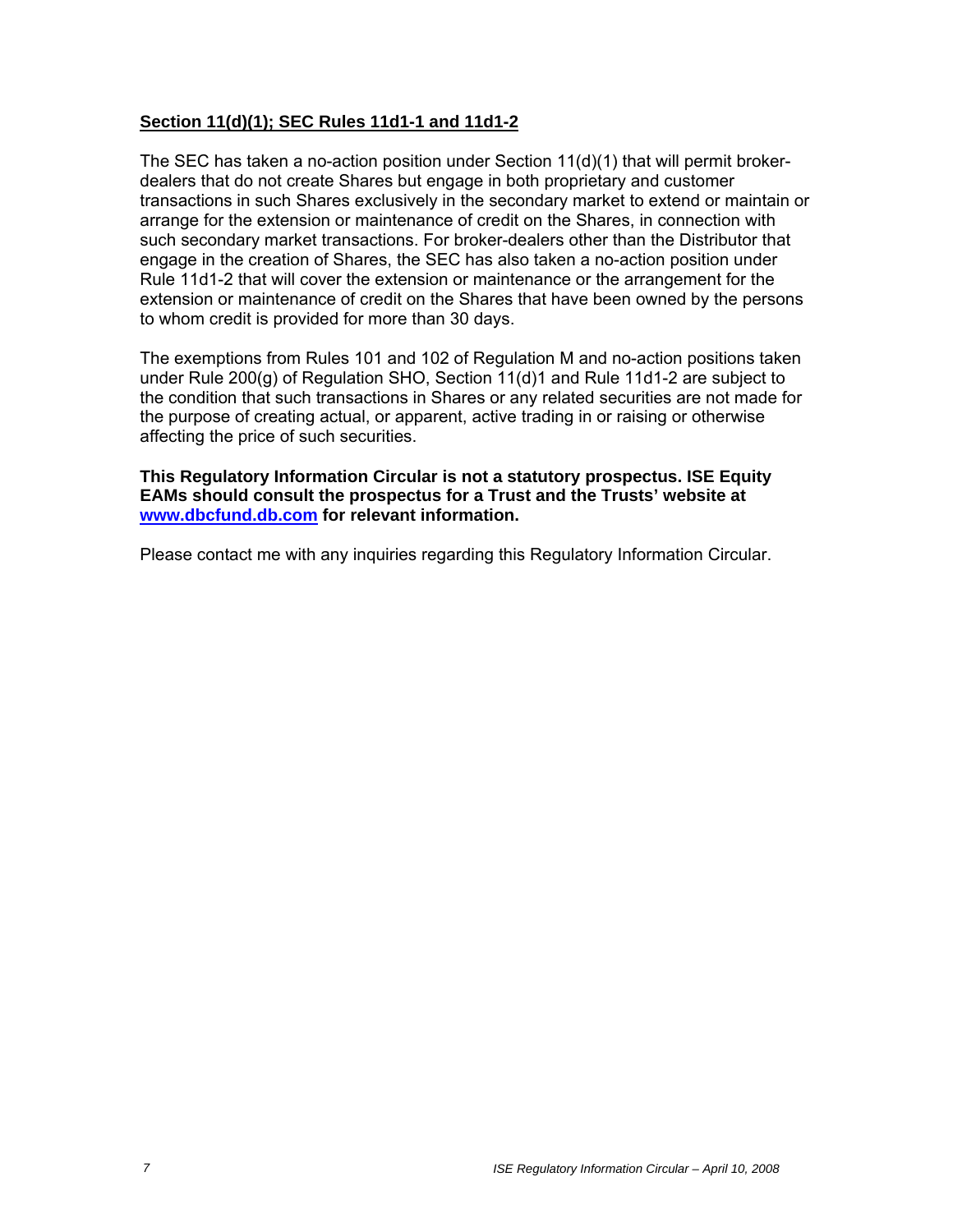## **Section 11(d)(1); SEC Rules 11d1-1 and 11d1-2**

The SEC has taken a no-action position under Section  $11(d)(1)$  that will permit brokerdealers that do not create Shares but engage in both proprietary and customer transactions in such Shares exclusively in the secondary market to extend or maintain or arrange for the extension or maintenance of credit on the Shares, in connection with such secondary market transactions. For broker-dealers other than the Distributor that engage in the creation of Shares, the SEC has also taken a no-action position under Rule 11d1-2 that will cover the extension or maintenance or the arrangement for the extension or maintenance of credit on the Shares that have been owned by the persons to whom credit is provided for more than 30 days.

The exemptions from Rules 101 and 102 of Regulation M and no-action positions taken under Rule 200(g) of Regulation SHO, Section 11(d)1 and Rule 11d1-2 are subject to the condition that such transactions in Shares or any related securities are not made for the purpose of creating actual, or apparent, active trading in or raising or otherwise affecting the price of such securities.

**This Regulatory Information Circular is not a statutory prospectus. ISE Equity EAMs should consult the prospectus for a Trust and the Trusts' website at www.dbcfund.db.com for relevant information.** 

Please contact me with any inquiries regarding this Regulatory Information Circular.